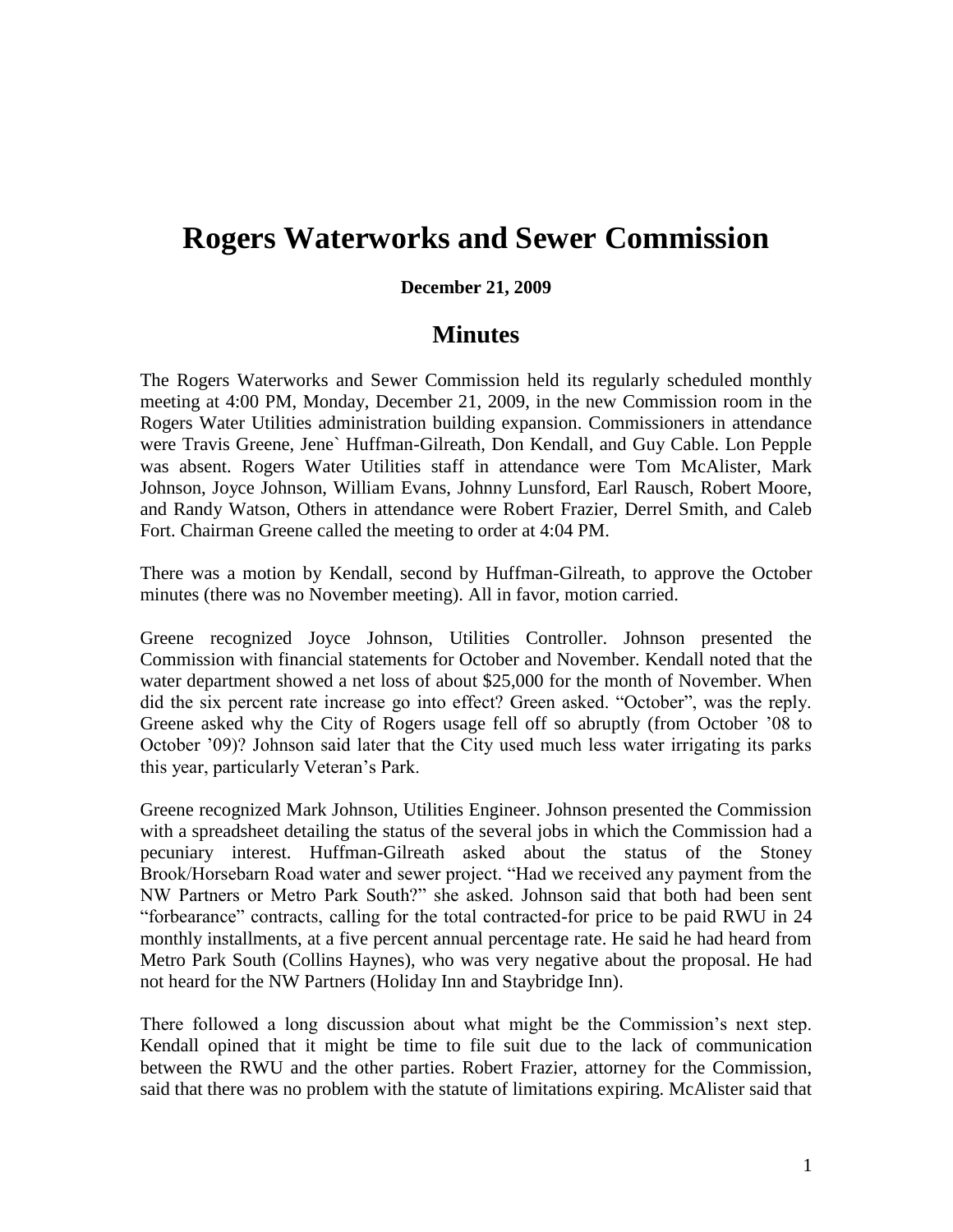## **Rogers Waterworks and Sewer Commission**

## **December 21, 2009**

## **Minutes**

The Rogers Waterworks and Sewer Commission held its regularly scheduled monthly meeting at 4:00 PM, Monday, December 21, 2009, in the new Commission room in the Rogers Water Utilities administration building expansion. Commissioners in attendance were Travis Greene, Jene` Huffman-Gilreath, Don Kendall, and Guy Cable. Lon Pepple was absent. Rogers Water Utilities staff in attendance were Tom McAlister, Mark Johnson, Joyce Johnson, William Evans, Johnny Lunsford, Earl Rausch, Robert Moore, and Randy Watson, Others in attendance were Robert Frazier, Derrel Smith, and Caleb Fort. Chairman Greene called the meeting to order at 4:04 PM.

There was a motion by Kendall, second by Huffman-Gilreath, to approve the October minutes (there was no November meeting). All in favor, motion carried.

Greene recognized Joyce Johnson, Utilities Controller. Johnson presented the Commission with financial statements for October and November. Kendall noted that the water department showed a net loss of about \$25,000 for the month of November. When did the six percent rate increase go into effect? Green asked. "October", was the reply. Greene asked why the City of Rogers usage fell off so abruptly (from October '08 to October '09)? Johnson said later that the City used much less water irrigating its parks this year, particularly Veteran's Park.

Greene recognized Mark Johnson, Utilities Engineer. Johnson presented the Commission with a spreadsheet detailing the status of the several jobs in which the Commission had a pecuniary interest. Huffman-Gilreath asked about the status of the Stoney Brook/Horsebarn Road water and sewer project. "Had we received any payment from the NW Partners or Metro Park South?" she asked. Johnson said that both had been sent "forbearance" contracts, calling for the total contracted-for price to be paid RWU in 24 monthly installments, at a five percent annual percentage rate. He said he had heard from Metro Park South (Collins Haynes), who was very negative about the proposal. He had not heard for the NW Partners (Holiday Inn and Staybridge Inn).

There followed a long discussion about what might be the Commission's next step. Kendall opined that it might be time to file suit due to the lack of communication between the RWU and the other parties. Robert Frazier, attorney for the Commission, said that there was no problem with the statute of limitations expiring. McAlister said that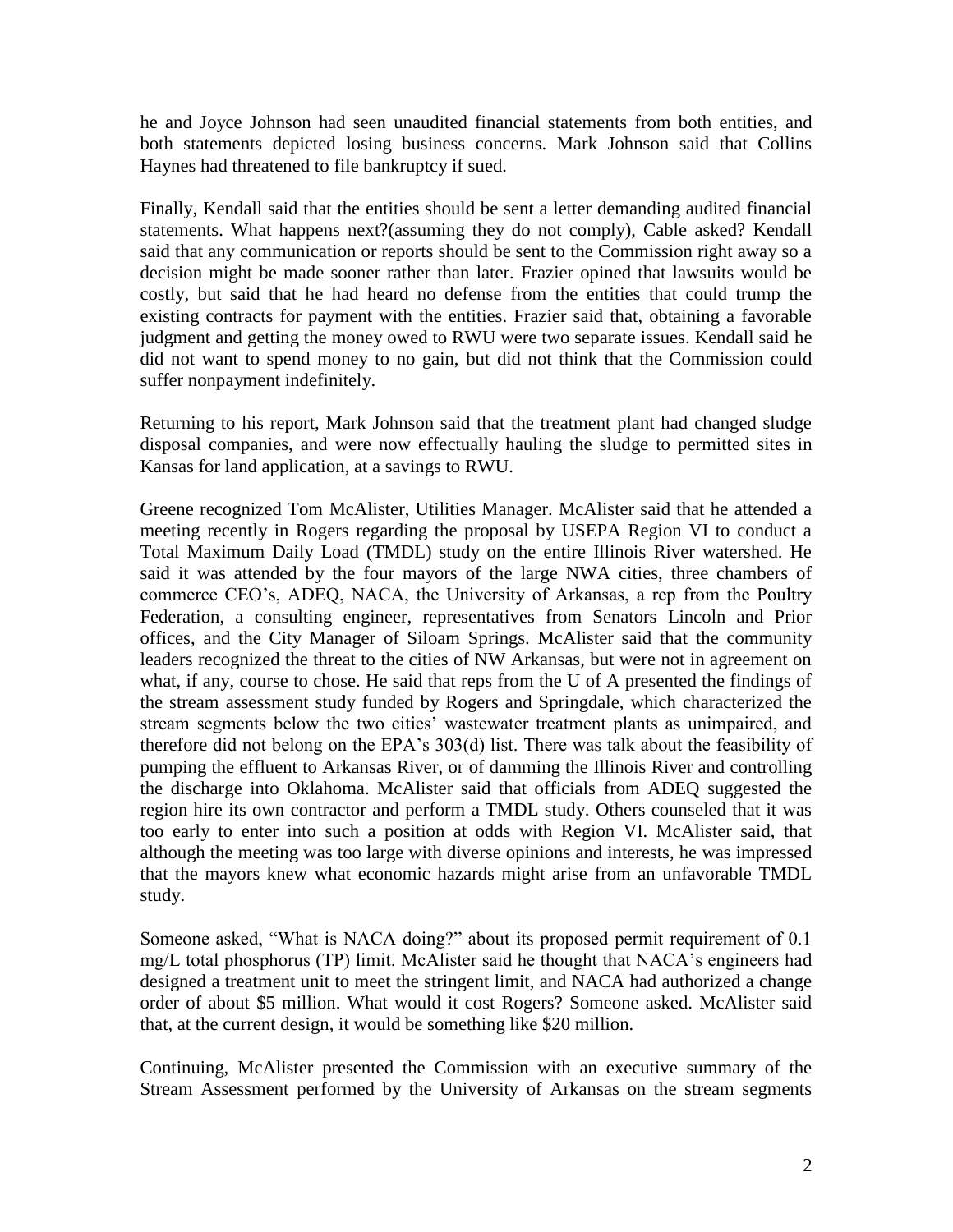he and Joyce Johnson had seen unaudited financial statements from both entities, and both statements depicted losing business concerns. Mark Johnson said that Collins Haynes had threatened to file bankruptcy if sued.

Finally, Kendall said that the entities should be sent a letter demanding audited financial statements. What happens next?(assuming they do not comply), Cable asked? Kendall said that any communication or reports should be sent to the Commission right away so a decision might be made sooner rather than later. Frazier opined that lawsuits would be costly, but said that he had heard no defense from the entities that could trump the existing contracts for payment with the entities. Frazier said that, obtaining a favorable judgment and getting the money owed to RWU were two separate issues. Kendall said he did not want to spend money to no gain, but did not think that the Commission could suffer nonpayment indefinitely.

Returning to his report, Mark Johnson said that the treatment plant had changed sludge disposal companies, and were now effectually hauling the sludge to permitted sites in Kansas for land application, at a savings to RWU.

Greene recognized Tom McAlister, Utilities Manager. McAlister said that he attended a meeting recently in Rogers regarding the proposal by USEPA Region VI to conduct a Total Maximum Daily Load (TMDL) study on the entire Illinois River watershed. He said it was attended by the four mayors of the large NWA cities, three chambers of commerce CEO's, ADEQ, NACA, the University of Arkansas, a rep from the Poultry Federation, a consulting engineer, representatives from Senators Lincoln and Prior offices, and the City Manager of Siloam Springs. McAlister said that the community leaders recognized the threat to the cities of NW Arkansas, but were not in agreement on what, if any, course to chose. He said that reps from the U of A presented the findings of the stream assessment study funded by Rogers and Springdale, which characterized the stream segments below the two cities' wastewater treatment plants as unimpaired, and therefore did not belong on the EPA's 303(d) list. There was talk about the feasibility of pumping the effluent to Arkansas River, or of damming the Illinois River and controlling the discharge into Oklahoma. McAlister said that officials from ADEQ suggested the region hire its own contractor and perform a TMDL study. Others counseled that it was too early to enter into such a position at odds with Region VI. McAlister said, that although the meeting was too large with diverse opinions and interests, he was impressed that the mayors knew what economic hazards might arise from an unfavorable TMDL study.

Someone asked, "What is NACA doing?" about its proposed permit requirement of 0.1 mg/L total phosphorus (TP) limit. McAlister said he thought that NACA's engineers had designed a treatment unit to meet the stringent limit, and NACA had authorized a change order of about \$5 million. What would it cost Rogers? Someone asked. McAlister said that, at the current design, it would be something like \$20 million.

Continuing, McAlister presented the Commission with an executive summary of the Stream Assessment performed by the University of Arkansas on the stream segments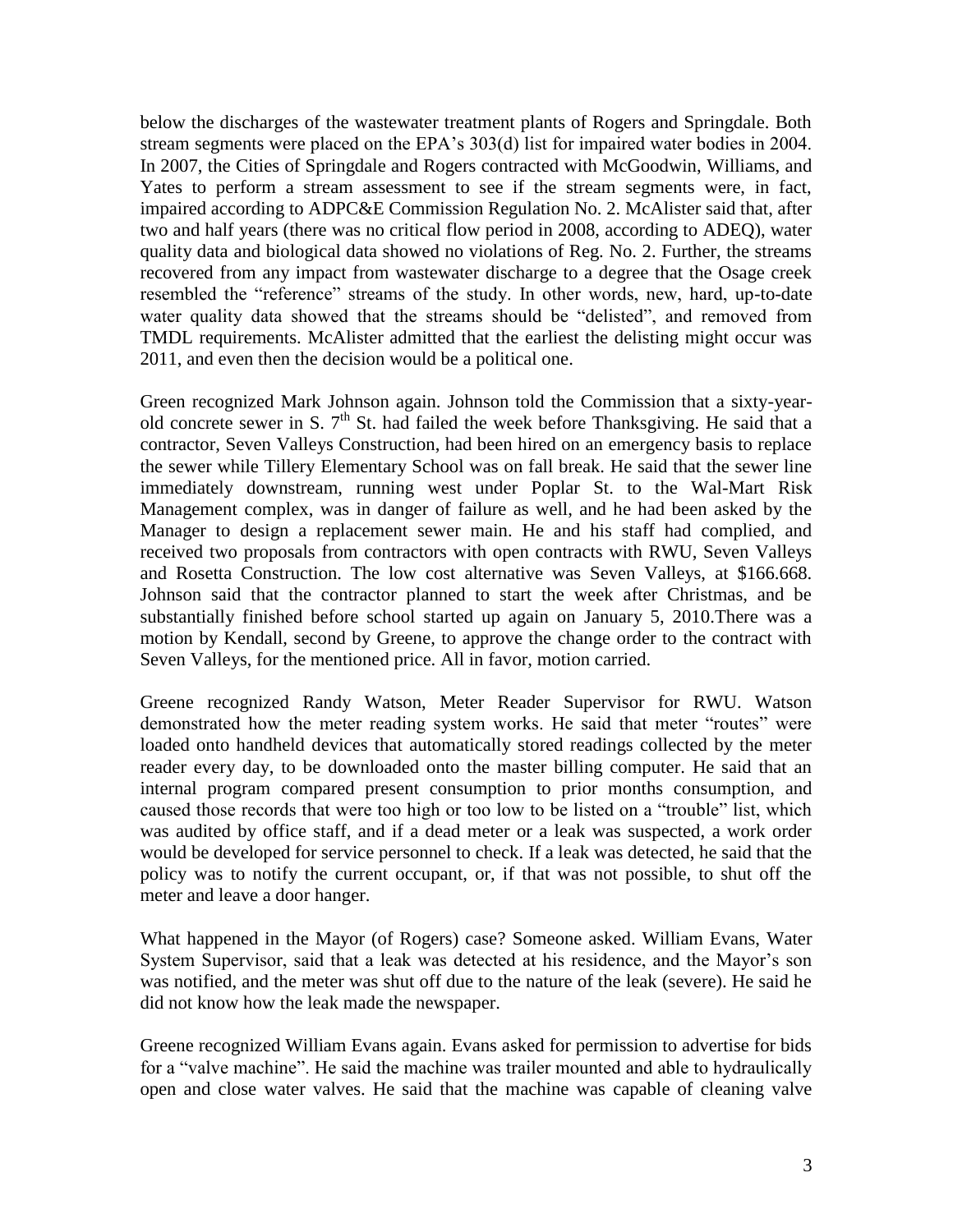below the discharges of the wastewater treatment plants of Rogers and Springdale. Both stream segments were placed on the EPA's 303(d) list for impaired water bodies in 2004. In 2007, the Cities of Springdale and Rogers contracted with McGoodwin, Williams, and Yates to perform a stream assessment to see if the stream segments were, in fact, impaired according to ADPC&E Commission Regulation No. 2. McAlister said that, after two and half years (there was no critical flow period in 2008, according to ADEQ), water quality data and biological data showed no violations of Reg. No. 2. Further, the streams recovered from any impact from wastewater discharge to a degree that the Osage creek resembled the "reference" streams of the study. In other words, new, hard, up-to-date water quality data showed that the streams should be "delisted", and removed from TMDL requirements. McAlister admitted that the earliest the delisting might occur was 2011, and even then the decision would be a political one.

Green recognized Mark Johnson again. Johnson told the Commission that a sixty-yearold concrete sewer in S.  $7<sup>th</sup>$  St. had failed the week before Thanksgiving. He said that a contractor, Seven Valleys Construction, had been hired on an emergency basis to replace the sewer while Tillery Elementary School was on fall break. He said that the sewer line immediately downstream, running west under Poplar St. to the Wal-Mart Risk Management complex, was in danger of failure as well, and he had been asked by the Manager to design a replacement sewer main. He and his staff had complied, and received two proposals from contractors with open contracts with RWU, Seven Valleys and Rosetta Construction. The low cost alternative was Seven Valleys, at \$166.668. Johnson said that the contractor planned to start the week after Christmas, and be substantially finished before school started up again on January 5, 2010.There was a motion by Kendall, second by Greene, to approve the change order to the contract with Seven Valleys, for the mentioned price. All in favor, motion carried.

Greene recognized Randy Watson, Meter Reader Supervisor for RWU. Watson demonstrated how the meter reading system works. He said that meter "routes" were loaded onto handheld devices that automatically stored readings collected by the meter reader every day, to be downloaded onto the master billing computer. He said that an internal program compared present consumption to prior months consumption, and caused those records that were too high or too low to be listed on a "trouble" list, which was audited by office staff, and if a dead meter or a leak was suspected, a work order would be developed for service personnel to check. If a leak was detected, he said that the policy was to notify the current occupant, or, if that was not possible, to shut off the meter and leave a door hanger.

What happened in the Mayor (of Rogers) case? Someone asked. William Evans, Water System Supervisor, said that a leak was detected at his residence, and the Mayor's son was notified, and the meter was shut off due to the nature of the leak (severe). He said he did not know how the leak made the newspaper.

Greene recognized William Evans again. Evans asked for permission to advertise for bids for a "valve machine". He said the machine was trailer mounted and able to hydraulically open and close water valves. He said that the machine was capable of cleaning valve